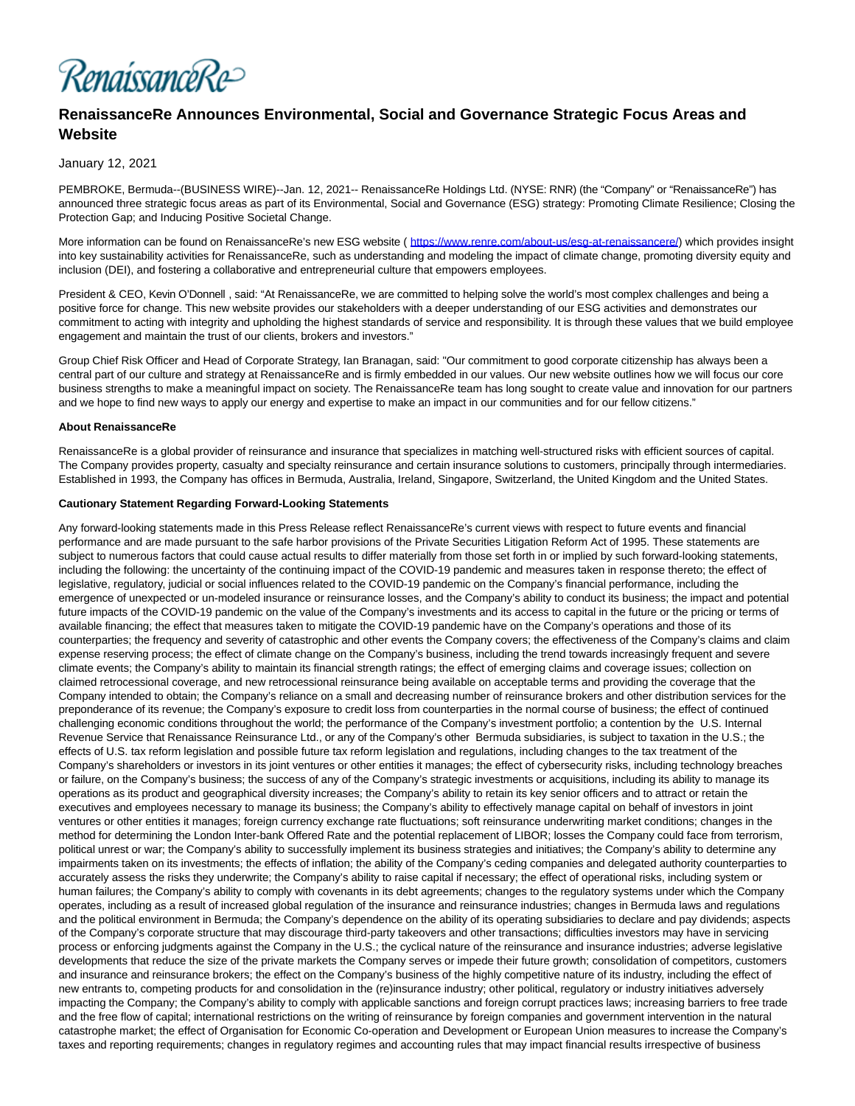

# **RenaissanceRe Announces Environmental, Social and Governance Strategic Focus Areas and Website**

## January 12, 2021

PEMBROKE, Bermuda--(BUSINESS WIRE)--Jan. 12, 2021-- RenaissanceRe Holdings Ltd. (NYSE: RNR) (the "Company" or "RenaissanceRe") has announced three strategic focus areas as part of its Environmental, Social and Governance (ESG) strategy: Promoting Climate Resilience; Closing the Protection Gap; and Inducing Positive Societal Change.

More information can be found on RenaissanceRe's new ESG website ( [https://www.renre.com/about-us/esg-at-renaissancere/\)](https://cts.businesswire.com/ct/CT?id=smartlink&url=https%3A%2F%2Fwww.renre.com%2Fabout-us%2Fesg-at-renaissancere%2F&esheet=52360601&newsitemid=20210112006024&lan=en-US&anchor=https%3A%2F%2Fwww.renre.com%2Fabout-us%2Fesg-at-renaissancere%2F&index=1&md5=16493c97bb06814c9430696983735e0b) which provides insight into key sustainability activities for RenaissanceRe, such as understanding and modeling the impact of climate change, promoting diversity equity and inclusion (DEI), and fostering a collaborative and entrepreneurial culture that empowers employees.

President & CEO, Kevin O'Donnell , said: "At RenaissanceRe, we are committed to helping solve the world's most complex challenges and being a positive force for change. This new website provides our stakeholders with a deeper understanding of our ESG activities and demonstrates our commitment to acting with integrity and upholding the highest standards of service and responsibility. It is through these values that we build employee engagement and maintain the trust of our clients, brokers and investors."

Group Chief Risk Officer and Head of Corporate Strategy, Ian Branagan, said: "Our commitment to good corporate citizenship has always been a central part of our culture and strategy at RenaissanceRe and is firmly embedded in our values. Our new website outlines how we will focus our core business strengths to make a meaningful impact on society. The RenaissanceRe team has long sought to create value and innovation for our partners and we hope to find new ways to apply our energy and expertise to make an impact in our communities and for our fellow citizens."

#### **About RenaissanceRe**

RenaissanceRe is a global provider of reinsurance and insurance that specializes in matching well-structured risks with efficient sources of capital. The Company provides property, casualty and specialty reinsurance and certain insurance solutions to customers, principally through intermediaries. Established in 1993, the Company has offices in Bermuda, Australia, Ireland, Singapore, Switzerland, the United Kingdom and the United States.

#### **Cautionary Statement Regarding Forward-Looking Statements**

Any forward-looking statements made in this Press Release reflect RenaissanceRe's current views with respect to future events and financial performance and are made pursuant to the safe harbor provisions of the Private Securities Litigation Reform Act of 1995. These statements are subject to numerous factors that could cause actual results to differ materially from those set forth in or implied by such forward-looking statements, including the following: the uncertainty of the continuing impact of the COVID-19 pandemic and measures taken in response thereto; the effect of legislative, regulatory, judicial or social influences related to the COVID-19 pandemic on the Company's financial performance, including the emergence of unexpected or un-modeled insurance or reinsurance losses, and the Company's ability to conduct its business; the impact and potential future impacts of the COVID-19 pandemic on the value of the Company's investments and its access to capital in the future or the pricing or terms of available financing; the effect that measures taken to mitigate the COVID-19 pandemic have on the Company's operations and those of its counterparties; the frequency and severity of catastrophic and other events the Company covers; the effectiveness of the Company's claims and claim expense reserving process; the effect of climate change on the Company's business, including the trend towards increasingly frequent and severe climate events; the Company's ability to maintain its financial strength ratings; the effect of emerging claims and coverage issues; collection on claimed retrocessional coverage, and new retrocessional reinsurance being available on acceptable terms and providing the coverage that the Company intended to obtain; the Company's reliance on a small and decreasing number of reinsurance brokers and other distribution services for the preponderance of its revenue; the Company's exposure to credit loss from counterparties in the normal course of business; the effect of continued challenging economic conditions throughout the world; the performance of the Company's investment portfolio; a contention by the U.S. Internal Revenue Service that Renaissance Reinsurance Ltd., or any of the Company's other Bermuda subsidiaries, is subject to taxation in the U.S.; the effects of U.S. tax reform legislation and possible future tax reform legislation and regulations, including changes to the tax treatment of the Company's shareholders or investors in its joint ventures or other entities it manages; the effect of cybersecurity risks, including technology breaches or failure, on the Company's business; the success of any of the Company's strategic investments or acquisitions, including its ability to manage its operations as its product and geographical diversity increases; the Company's ability to retain its key senior officers and to attract or retain the executives and employees necessary to manage its business; the Company's ability to effectively manage capital on behalf of investors in joint ventures or other entities it manages; foreign currency exchange rate fluctuations; soft reinsurance underwriting market conditions; changes in the method for determining the London Inter-bank Offered Rate and the potential replacement of LIBOR; losses the Company could face from terrorism, political unrest or war; the Company's ability to successfully implement its business strategies and initiatives; the Company's ability to determine any impairments taken on its investments; the effects of inflation; the ability of the Company's ceding companies and delegated authority counterparties to accurately assess the risks they underwrite; the Company's ability to raise capital if necessary; the effect of operational risks, including system or human failures; the Company's ability to comply with covenants in its debt agreements; changes to the regulatory systems under which the Company operates, including as a result of increased global regulation of the insurance and reinsurance industries; changes in Bermuda laws and regulations and the political environment in Bermuda; the Company's dependence on the ability of its operating subsidiaries to declare and pay dividends; aspects of the Company's corporate structure that may discourage third-party takeovers and other transactions; difficulties investors may have in servicing process or enforcing judgments against the Company in the U.S.; the cyclical nature of the reinsurance and insurance industries; adverse legislative developments that reduce the size of the private markets the Company serves or impede their future growth; consolidation of competitors, customers and insurance and reinsurance brokers; the effect on the Company's business of the highly competitive nature of its industry, including the effect of new entrants to, competing products for and consolidation in the (re)insurance industry; other political, regulatory or industry initiatives adversely impacting the Company; the Company's ability to comply with applicable sanctions and foreign corrupt practices laws; increasing barriers to free trade and the free flow of capital; international restrictions on the writing of reinsurance by foreign companies and government intervention in the natural catastrophe market; the effect of Organisation for Economic Co-operation and Development or European Union measures to increase the Company's taxes and reporting requirements; changes in regulatory regimes and accounting rules that may impact financial results irrespective of business